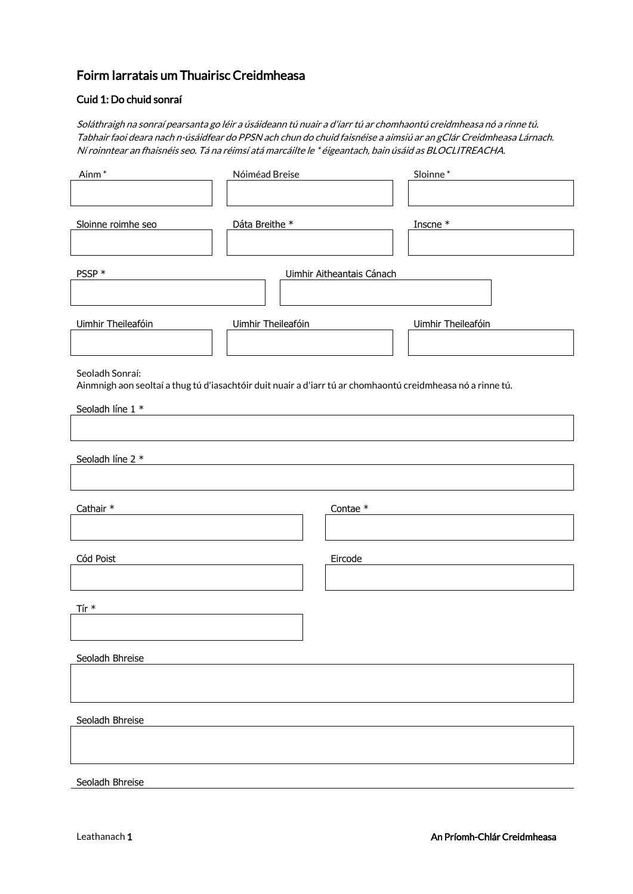# Foirm Iarratais um Thuairisc Creidmheasa

## Cuid 1: Do chuid sonraí

Soláthraigh na sonraí pearsanta go léir a úsáideann tú nuair a d'iarr tú ar chomhaontú creidmheasa nó a rinne tú. Tabhair faoi deara nach n-úsáidfear do PPSN ach chun do chuid faisnéise a aimsiú ar an gClár Creidmheasa Lárnach. Ní roinntear an fhaisnéis seo. Tá na réimsí atá marcáilte le \* éigeantach, bain úsáid as BLOCLITREACHA.

| Ainm <sup>*</sup>                                                                                           | Nóiméad Breise            |            | Sloinne*           |
|-------------------------------------------------------------------------------------------------------------|---------------------------|------------|--------------------|
|                                                                                                             |                           |            |                    |
|                                                                                                             |                           |            |                    |
| Sloinne roimhe seo                                                                                          | Dáta Breithe *            |            | Inscne $^\ast$     |
|                                                                                                             |                           |            |                    |
|                                                                                                             |                           |            |                    |
| PSSP *                                                                                                      | Uimhir Aitheantais Cánach |            |                    |
|                                                                                                             |                           |            |                    |
| Uimhir Theileafóin                                                                                          | Uimhir Theileafóin        |            | Uimhir Theileafóin |
|                                                                                                             |                           |            |                    |
|                                                                                                             |                           |            |                    |
| Seoladh Sonraí:                                                                                             |                           |            |                    |
| Ainmnigh aon seoltaí a thug tú d'iasachtóir duit nuair a d'iarr tú ar chomhaontú creidmheasa nó a rinne tú. |                           |            |                    |
| Seoladh líne 1 *                                                                                            |                           |            |                    |
|                                                                                                             |                           |            |                    |
|                                                                                                             |                           |            |                    |
| Seoladh líne 2 *                                                                                            |                           |            |                    |
|                                                                                                             |                           |            |                    |
|                                                                                                             |                           |            |                    |
| Cathair *                                                                                                   |                           | Contae $*$ |                    |
|                                                                                                             |                           |            |                    |
| Cód Poist                                                                                                   |                           | Eircode    |                    |
|                                                                                                             |                           |            |                    |
|                                                                                                             |                           |            |                    |
| Tír $*$                                                                                                     |                           |            |                    |
|                                                                                                             |                           |            |                    |
|                                                                                                             |                           |            |                    |
| Seoladh Bhreise                                                                                             |                           |            |                    |
|                                                                                                             |                           |            |                    |
|                                                                                                             |                           |            |                    |
| Seoladh Bhreise                                                                                             |                           |            |                    |
|                                                                                                             |                           |            |                    |
|                                                                                                             |                           |            |                    |
|                                                                                                             |                           |            |                    |

Seoladh Bhreise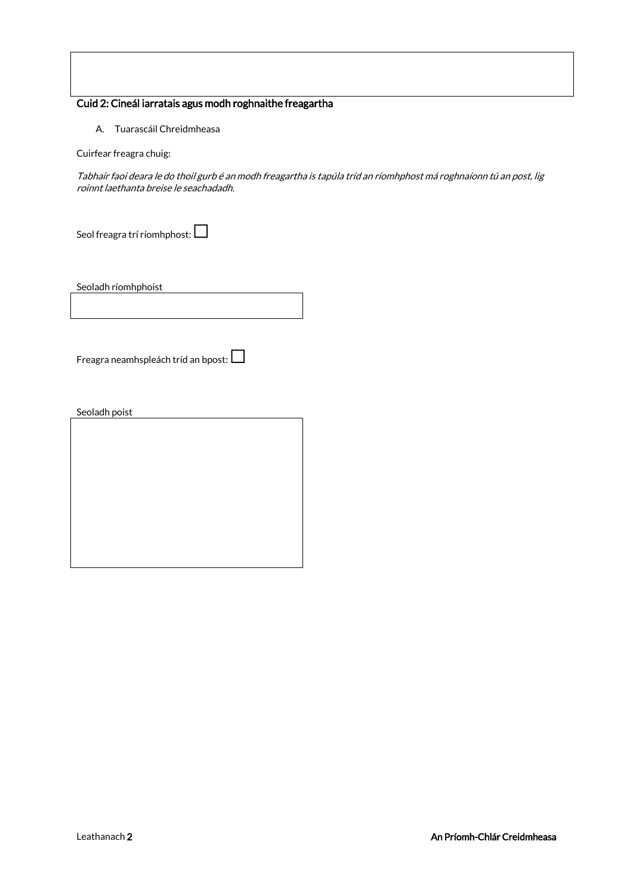# Cuid 2: Cineál iarratais agus modh roghnaithe freagartha

A. Tuarascáil Chreidmheasa

Cuirfear freagra chuig:

Tabhair faoi deara le do thoil gurb é an modh freagartha is tapúla tríd an ríomhphost má roghnaíonn tú an post, lig roinnt laethanta breise le seachadadh.

Seol freagra trí ríomhphost:  $\Box$ 

Seoladh ríomhphoist

Freagra neamhspleách tríd an bpost:  $\Box$ 

Seoladh poist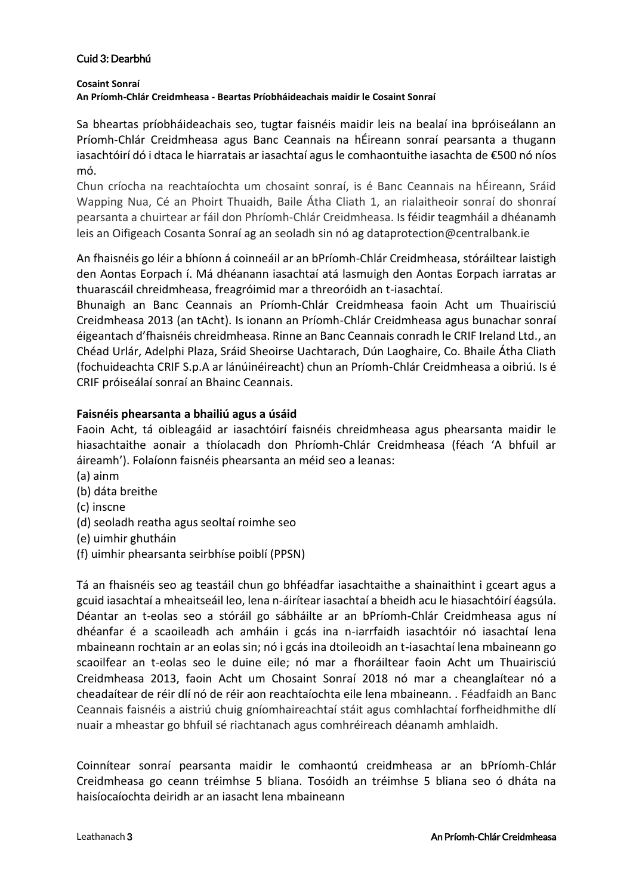#### Cuid 3: Dearbhú

**Cosaint Sonraí** 

**An Príomh-Chlár Creidmheasa - Beartas Príobháideachais maidir le Cosaint Sonraí** 

Sa bheartas príobháideachais seo, tugtar faisnéis maidir leis na bealaí ina bpróiseálann an Príomh-Chlár Creidmheasa agus Banc Ceannais na hÉireann sonraí pearsanta a thugann iasachtóirí dó i dtaca le hiarratais ar iasachtaí agus le comhaontuithe iasachta de €500 nó níos mó.

Chun críocha na reachtaíochta um chosaint sonraí, is é Banc Ceannais na hÉireann, Sráid Wapping Nua, Cé an Phoirt Thuaidh, Baile Átha Cliath 1, an rialaitheoir sonraí do shonraí pearsanta a chuirtear ar fáil don Phríomh-Chlár Creidmheasa. Is féidir teagmháil a dhéanamh leis an Oifigeach Cosanta Sonraí ag an seoladh sin nó ag dataprotection@centralbank.ie

An fhaisnéis go léir a bhíonn á coinneáil ar an bPríomh-Chlár Creidmheasa, stóráiltear laistigh den Aontas Eorpach í. Má dhéanann iasachtaí atá lasmuigh den Aontas Eorpach iarratas ar thuarascáil chreidmheasa, freagróimid mar a threoróidh an t-iasachtaí.

Bhunaigh an Banc Ceannais an Príomh-Chlár Creidmheasa faoin Acht um Thuairisciú Creidmheasa 2013 (an tAcht). Is ionann an Príomh-Chlár Creidmheasa agus bunachar sonraí éigeantach d'fhaisnéis chreidmheasa. Rinne an Banc Ceannais conradh le CRIF Ireland Ltd., an Chéad Urlár, Adelphi Plaza, Sráid Sheoirse Uachtarach, Dún Laoghaire, Co. Bhaile Átha Cliath (fochuideachta CRIF S.p.A ar lánúinéireacht) chun an Príomh-Chlár Creidmheasa a oibriú. Is é CRIF próiseálaí sonraí an Bhainc Ceannais.

### **Faisnéis phearsanta a bhailiú agus a úsáid**

Faoin Acht, tá oibleagáid ar iasachtóirí faisnéis chreidmheasa agus phearsanta maidir le hiasachtaithe aonair a thíolacadh don Phríomh-Chlár Creidmheasa (féach 'A bhfuil ar áireamh'). Folaíonn faisnéis phearsanta an méid seo a leanas:

- (a) ainm
- (b) dáta breithe
- (c) inscne
- (d) seoladh reatha agus seoltaí roimhe seo
- (e) uimhir ghutháin
- (f) uimhir phearsanta seirbhíse poiblí (PPSN)

Tá an fhaisnéis seo ag teastáil chun go bhféadfar iasachtaithe a shainaithint i gceart agus a gcuid iasachtaí a mheaitseáil leo, lena n-áirítear iasachtaí a bheidh acu le hiasachtóirí éagsúla. Déantar an t-eolas seo a stóráil go sábháilte ar an bPríomh-Chlár Creidmheasa agus ní dhéanfar é a scaoileadh ach amháin i gcás ina n-iarrfaidh iasachtóir nó iasachtaí lena mbaineann rochtain ar an eolas sin; nó i gcás ina dtoileoidh an t-iasachtaí lena mbaineann go scaoilfear an t-eolas seo le duine eile; nó mar a fhoráiltear faoin Acht um Thuairisciú Creidmheasa 2013, faoin Acht um Chosaint Sonraí 2018 nó mar a cheanglaítear nó a cheadaítear de réir dlí nó de réir aon reachtaíochta eile lena mbaineann. . Féadfaidh an Banc Ceannais faisnéis a aistriú chuig gníomhaireachtaí stáit agus comhlachtaí forfheidhmithe dlí nuair a mheastar go bhfuil sé riachtanach agus comhréireach déanamh amhlaidh.

Coinnítear sonraí pearsanta maidir le comhaontú creidmheasa ar an bPríomh-Chlár Creidmheasa go ceann tréimhse 5 bliana. Tosóidh an tréimhse 5 bliana seo ó dháta na haisíocaíochta deiridh ar an iasacht lena mbaineann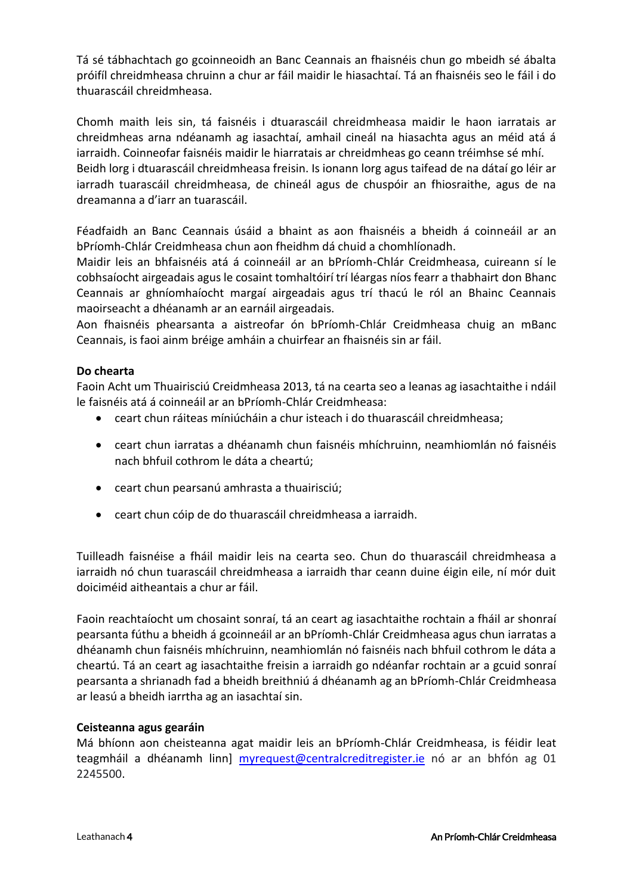Tá sé tábhachtach go gcoinneoidh an Banc Ceannais an fhaisnéis chun go mbeidh sé ábalta próifíl chreidmheasa chruinn a chur ar fáil maidir le hiasachtaí. Tá an fhaisnéis seo le fáil i do thuarascáil chreidmheasa.

Chomh maith leis sin, tá faisnéis i dtuarascáil chreidmheasa maidir le haon iarratais ar chreidmheas arna ndéanamh ag iasachtaí, amhail cineál na hiasachta agus an méid atá á iarraidh. Coinneofar faisnéis maidir le hiarratais ar chreidmheas go ceann tréimhse sé mhí. Beidh lorg i dtuarascáil chreidmheasa freisin. Is ionann lorg agus taifead de na dátaí go léir ar iarradh tuarascáil chreidmheasa, de chineál agus de chuspóir an fhiosraithe, agus de na dreamanna a d'iarr an tuarascáil.

Féadfaidh an Banc Ceannais úsáid a bhaint as aon fhaisnéis a bheidh á coinneáil ar an bPríomh-Chlár Creidmheasa chun aon fheidhm dá chuid a chomhlíonadh.

Maidir leis an bhfaisnéis atá á coinneáil ar an bPríomh-Chlár Creidmheasa, cuireann sí le cobhsaíocht airgeadais agus le cosaint tomhaltóirí trí léargas níos fearr a thabhairt don Bhanc Ceannais ar ghníomhaíocht margaí airgeadais agus trí thacú le ról an Bhainc Ceannais maoirseacht a dhéanamh ar an earnáil airgeadais.

Aon fhaisnéis phearsanta a aistreofar ón bPríomh-Chlár Creidmheasa chuig an mBanc Ceannais, is faoi ainm bréige amháin a chuirfear an fhaisnéis sin ar fáil.

## **Do chearta**

Faoin Acht um Thuairisciú Creidmheasa 2013, tá na cearta seo a leanas ag iasachtaithe i ndáil le faisnéis atá á coinneáil ar an bPríomh-Chlár Creidmheasa:

- ceart chun ráiteas míniúcháin a chur isteach i do thuarascáil chreidmheasa;
- ceart chun iarratas a dhéanamh chun faisnéis mhíchruinn, neamhiomlán nó faisnéis nach bhfuil cothrom le dáta a cheartú;
- ceart chun pearsanú amhrasta a thuairisciú;
- ceart chun cóip de do thuarascáil chreidmheasa a iarraidh.

Tuilleadh faisnéise a fháil maidir leis na cearta seo. Chun do thuarascáil chreidmheasa a iarraidh nó chun tuarascáil chreidmheasa a iarraidh thar ceann duine éigin eile, ní mór duit doiciméid aitheantais a chur ar fáil.

Faoin reachtaíocht um chosaint sonraí, tá an ceart ag iasachtaithe rochtain a fháil ar shonraí pearsanta fúthu a bheidh á gcoinneáil ar an bPríomh-Chlár Creidmheasa agus chun iarratas a dhéanamh chun faisnéis mhíchruinn, neamhiomlán nó faisnéis nach bhfuil cothrom le dáta a cheartú. Tá an ceart ag iasachtaithe freisin a iarraidh go ndéanfar rochtain ar a gcuid sonraí pearsanta a shrianadh fad a bheidh breithniú á dhéanamh ag an bPríomh-Chlár Creidmheasa ar leasú a bheidh iarrtha ag an iasachtaí sin.

### **Ceisteanna agus gearáin**

Má bhíonn aon cheisteanna agat maidir leis an bPríomh-Chlár Creidmheasa, is féidir leat teagmháil a dhéanamh linn] [myrequest@centralcreditregister.ie](mailto:myrequest@centralcreditregister.ie) nó ar an bhfón ag 01 2245500.